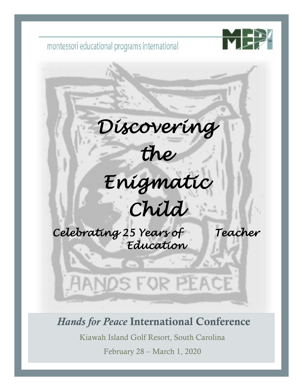

montessori educational programs international

# *Discovering*



# *Enigmatic*



*Celebrating 25 Years of Teacher Education* 

## *Hands for Peace* International Conference

DS FOR PEACE

Kiawah Island Golf Resort, South Carolina

February 28 – March 1, 2020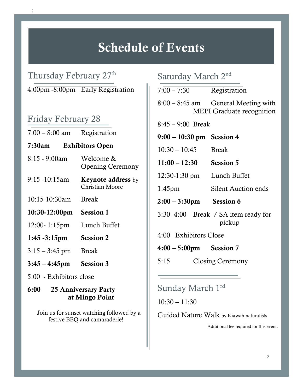## Schedule of Events

Thursday February 27<sup>th</sup> 4:00pm -8:00pm Early Registration

## Friday February 28

;

| $7:00 - 8:00$ am        |  | Registration                                 |
|-------------------------|--|----------------------------------------------|
| 7:30am                  |  | <b>Exhibitors Open</b>                       |
| $8:15 - 9:00am$         |  | Welcome &<br><b>Opening Ceremony</b>         |
| 9:15 -10:15am           |  | <b>Keynote address</b> by<br>Christian Moore |
| $10:15-10:30am$         |  | <b>Break</b>                                 |
| 10:30-12:00pm           |  | <b>Session 1</b>                             |
| 12:00-1:15pm            |  | Lunch Buffet                                 |
| $1:45 - 3:15$ pm        |  | <b>Session 2</b>                             |
| $3:15 - 3:45$ pm        |  | <b>Break</b>                                 |
| $3:45 - 4:45$ pm        |  | <b>Session 3</b>                             |
| 5:00 - Exhibitors close |  |                                              |
|                         |  |                                              |

### 6:00 25 Anniversary Party at Mingo Point

 Join us for sunset watching followed by a festive BBQ and camaraderie!

## Saturday March 2nd

| $7:00 - 7:30$               | Registration                                                            |
|-----------------------------|-------------------------------------------------------------------------|
|                             | 8:00 – 8:45 am General Meeting with<br><b>MEPI</b> Graduate recognition |
| $8:45 - 9:00$ Break         |                                                                         |
| $9:00 - 10:30$ pm Session 4 |                                                                         |
| $10:30 - 10:45$ Break       |                                                                         |
| $11:00 - 12:30$ Session 5   |                                                                         |
| 12:30-1:30 pm Lunch Buffet  |                                                                         |
| $1:45$ pm                   | <b>Silent Auction ends</b>                                              |
| $2:00 - 3:30$ pm Session 6  |                                                                         |
|                             | 3:30 -4:00 Break / SA item ready for<br>pickup                          |
| 4:00 Exhibitors Close       |                                                                         |
| $4:00 - 5:00$ pm Session 7  |                                                                         |
| 5:15                        | <b>Closing Ceremony</b>                                                 |
|                             |                                                                         |

Sunday March 1rd  $10:30 - 11:30$ 

Guided Nature Walk by Kiawah naturalists

Additional fee required for this event.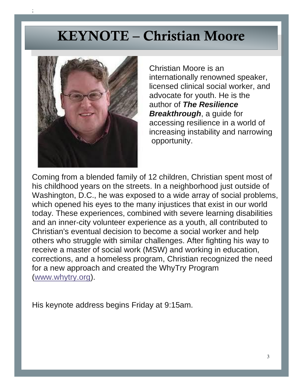## KEYNOTE – Christian Moore



;

Christian Moore is an internationally renowned speaker, licensed clinical social worker, and advocate for youth. He is the author of *The Resilience Breakthrough*, a guide for accessing resilience in a world of increasing instability and narrowing opportunity.

Coming from a blended family of 12 children, Christian spent most of his childhood years on the streets. In a neighborhood just outside of Washington, D.C., he was exposed to a wide array of social problems, which opened his eyes to the many injustices that exist in our world today. These experiences, combined with severe learning disabilities and an inner-city volunteer experience as a youth, all contributed to Christian's eventual decision to become a social worker and help others who struggle with similar challenges. After fighting his way to receive a master of social work (MSW) and working in education, corrections, and a homeless program, Christian recognized the need for a new approach and created the WhyTry Program [\(www.whytry.org\)](http://www.whytry.org/).

His keynote address begins Friday at 9:15am.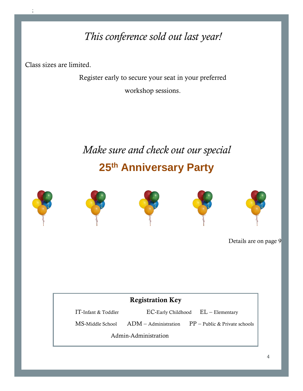## *This conference sold out last year!*

Class sizes are limited.

;

Register early to secure your seat in your preferred workshop sessions.

## *Make sure and check out our special* **25th Anniversary Party**











Details are on page 9

### Registration Key

IT-Infant & Toddler EC-Early Childhood EL – Elementary

MS-Middle School ADM – Administration PP – Public & Private schools

Admin-Administration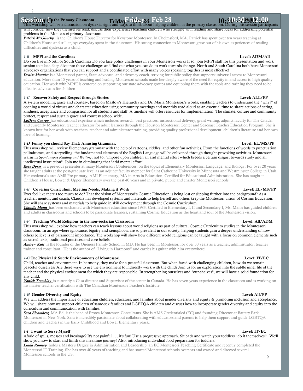## Sessiton via the Primary Classroom Frida Friday  $\frac{1}{2}$  Feb 28 10:30:30:30:50  $\frac{1}{2}$

#### 10:30 3:2:09 am ssion participants

will consider how they themselves read, discuss their experiences teaching children who struggle with reading and share ideas for addressing potential problems in the Montessori primary classroom.

*Patrick McGlinchy* is the Children's House Director for Keystone Montessori In Chelmsford, MA. Patrick has spent over ten years teaching at Children's House and still enjoys everyday spent in the classroom. His strong connection to Montessori grew out of his own experiences of reading difficulties and dyslexia as a child.

### *1-B* MPPI and the Carolinas Level: ADM/All

;

Do you live in North or South Carolina? Do you face policy challenges in your Montessori work? If so, join MPPI staff for this presentation and work session to take a deep dive into those challenges and find out what you can do to work towards change. North and South Carolina both have Montessori advocacy organizations that you can support and a coordinated effort with many voices speaking together is most effective!

*Denise Monnier* is a Montessori parent, State advocate, and advocacy coach, striving for public policy that supports universal access to Montessori education. More than 15 years of teaching and leading Montessori schools made her deeply aware of the need for equity in and access to high quality education. Her work with MPPI is centered on supporting our state advocacy groups and equipping them with the tools and training they need to be effective advocates for children.

#### *1-C* Recover Safety and Respect through Stories Level: ALL/PP

A system modeling grace and courtesy, based on Maslow's Hierarchy and Dr. Maria Montessori's words, enabling teachers to understand the "why?" of opening a world of virtues and character education using community meetings and monthly read aloud as an essential time to share actions of caring, kindness, acceptance and compassion for all students and staff. A timeline will offer resources for implementation. The climate, culture and community protect, respect and sustain grace and courtesy school wide.

*LaDene Conroy* has educational expertise which includes research, best practices, instructional delivery, grant writing, adjunct faculty for The Citadel and currently Montessori teacher educator for adult learners through the Houston Montessori Center and Seacoast Teacher Education Program. She is known best for her work with teachers, teacher and administrator training, providing quality professional development, children's literature and her own love of learning.

#### *1-D* Funny you should Say That: Amusing Grammar.Level: EL/MS/PP

This workshop will review Elementary grammar with the help of cartoons, riddles, and other fun activities. From the functions of words to punctuation, palindromes, and storytelling, the fundamental elements of the English Language will be enlivened through thought-provoking activities. Montessori warns in *Spontaneous Reading and Writing*, not to, "impose upon children an arid mental effort which breeds a certain disgust towards study and all intellectual instruction". Join me in eliminating that "arid mental effort".

*Rose Dorer* is a previous presenter at many Montessori Conferences, on the topics of Elementary Montessori Language, and Biology. For over 20 years she taught adults at the post-graduate level as an adjunct faculty member for Saint Catherine University in Minnesota and Westminster College in Utah. Her credentials are: AMS Pre-primary, AMI Elementary, MA in Arts in Education, Certified for Educational Administration. She has taught in Children's House, Lower & Upper Elementary over the past 40 years and in private, public and charter Montessori schools.

#### *1-E* Covering Curriculum, Meeting Needs, Making it Work **Level: EL/MS/PP** Level: EL/MS/PP

Ever feel like there's too much to do? That the vision of Montessori's Cosmic Education is being lost or slipping further into the background? As a teacher, mentor, and coach, Claudia has developed systems and materials to help herself and others keep the Montessori vision of Cosmic Education. She will share systems and materials to help guide in skill development through the Cosmic Curriculum.

*Claudia Mann* has been enchanted with Montessori education since 1983. Certified in Elementary I, II and Secondary I, Ms. Mann has guided children and adults in classrooms and schools to be passionate learners, sustaining Cosmic Education as the heart and soul of the Montessori vision.

#### *1-F* Teaching World Religions in the non-sectarian Classroom Level: All/ADM

This workshop will explore how teachers can teach lessons about world religions as part of cultural Cosmic Curriculum studies in the Montessori classroom. In an age where ignorance, bigotry and xenophobia are so prevalent in our society, helping students gain a deeper understanding of how others believe is of paramount importance. The workshop will show how different world religions can be taught with a focus on common elements such as sacred texts, traditional practices and core beliefs.

*Andrew Kutt* is the founder of the Oneness Family School in MD. He has been in Montessori for over 30 years as a teacher, administrator, teacher trainer and consultant. He is the author of "Living in Harmony" and carries his guitar with him everywhere!

#### *1-G* The Physical & Subtle Environments of Montessori Level: IT/EC

Child, teacher and environment. In harmony, they make for a peaceful classroom. But when faced with challenging children, how do we remain peaceful ourselves? Are there ways to use the environment to indirectly work with the child? Join us for an exploration into the subtle inner life of the teacher and the physical environment for which they are responsible. In strengthening ourselves and "our-shelves", we will have a solid foundation for any child.

*Yanick Tremblay* is currently a Casa director and Supervisor of the center in Canada. He has seven years experience in the classroom and is working on his master teacher certification with The Canadian Montessori Teacher's Institute.

#### *1-H* Gender Diversity and Equity Level: All/PP

We will address the importance of educating children, educators, and families about gender diversity and equity & promoting inclusion and acceptance. We will share how we support children of same-sex families and LGBTQA children and discuss how to incorporate gender diversity and equity into the curriculum and communication with families.

*Sara Bloomberg* MA.Ed, is the head of Protea Montessori Consultants. She is AMS Credentialed (EC) and founding Director at Battery Park Montessori in New York. Sara is incredibly passionate about collaborating with educators and parents to help them support and guide LGBTQA children and teachers in the Early Childhood and Lower Elementary years..

#### *1-I* I want to Serve Myself Level: IT/EC

Afraid of spills, messes and breakage? It's not painful . . . it's fun! Use a progressive approach. Sit back and watch your toddlers "do it themselves!" We'll show you how to start and finish this mealtime journey! Also, introducing individual food preparation for toddlers.

*Linda Rumsey* holds a Master's Degree in Administration and Leadership, an EC Montessori Teaching Certificate and recently completed the Montessori IT Training. She has over 40 years of teaching and has started Montessori schools overseas and owned and directed several Montessori schools in the US.

### 5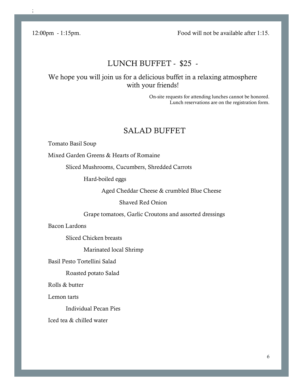12:00pm - 1:15pm. Food will not be available after 1:15.

### LUNCH BUFFET - \$25 -

We hope you will join us for a delicious buffet in a relaxing atmosphere with your friends!

> On-site requests for attending lunches cannot be honored. Lunch reservations are on the registration form.

### SALAD BUFFET

Tomato Basil Soup

Mixed Garden Greens & Hearts of Romaine

Sliced Mushrooms, Cucumbers, Shredded Carrots

Hard-boiled eggs

Aged Cheddar Cheese & crumbled Blue Cheese

Shaved Red Onion

Grape tomatoes, Garlic Croutons and assorted dressings

Bacon Lardons

Sliced Chicken breasts

Marinated local Shrimp

Basil Pesto Tortellini Salad

Roasted potato Salad

Rolls & butter

Lemon tarts

Individual Pecan Pies

Iced tea & chilled water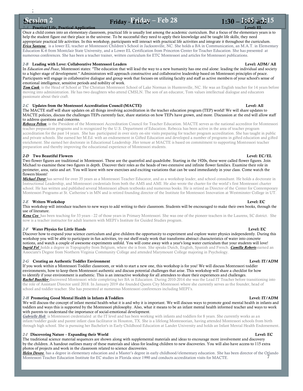## Session 2 Friday – Friday – Feb 28 1:30 – 3:45 am<sup>2</sup>i<sup>15</sup>

### *2-A* Practical Life, Practical Application Level: EL

Once a child comes into an elementary classroom, practical life is usually lost among the academic curriculum. But a focus of the elementary years is to help the student figure out their place in the universe. To be successful they need to apply their knowledge and be taught life skills; they need appropriate practical life activities. In this workshop, participants will interact with practical life activities and integrate it throughout the curriculum. *Erica Santana* is a lower EL teacher at Montessori Children's School in Jacksonville, NC. She holds a BA in Communication, an M.A.T. in Elementary Education K-6 from Montclair State University, and a Lower EL Certification from Princeton Center for Teacher Education. She has presented at numerous conferences. She has been a teacher trainer, written curriculum for ETC Montessori and articles for Montessori publications.

#### 2-B Leading with Love: Collaborative Montessori Leaders **Leaders** Level: ADM/ All

In *Education and Peace*, Montessori states: "The education that will lead the way to a new humanity has one end alone: leading the individual and society to a higher stage of development." Administrators will approach constructive and collaborative leadership based on Montessori principles of peace. Participants will engage in collaborative dialogue and group work that focuses on utilizing faculty and staff as active members of your school's sense of emotional intelligence, sensitive periods and nobility of work.

*Tom Cook* is the Head of School at The Christian Montessori School of Lake Norman in Huntersville, NC. He was an English teacher for 14 years before moving into administration. He has two daughters who attend CMSLN. The son of an educator, Tom values intellectual dialogue and educators passionate about their craft.

#### *2-C* Updates from the Montessori Accreditation Council (MACTE) Level: All

The MACTE staff will share updates on all things involving accreditation in the teacher education program (TEP) world! We will share updates to MACTE policies, discuss the challenges TEPs currently face, share statistics on how TEPs have grown, and more. Discussion at the end will allow staff to address questions and concerns.

*Rebecca Pelton* is the President of the Montessori Accreditation Council for Teacher Education. MACTE serves as the national accreditor for Montessori teacher preparation programs and is recognized by the U.S. Department of Education. Rebecca has been active in the area of teacher program accreditation for the past 14 years. She has participated in over sixty on-site visits preparing for teacher program accreditation. She has taught in public and private schools. She earned her M.Ed. with an endorsement in Gifted Education and developed a number of programs in gifted education and gifted enrichment. She earned her doctorate in Educational Leadership .Her tenure at MACTE is based on commitment to supporting Montessori teacher preparation and thereby improving the educational experience of Montessori students.

#### . *2-D* Two Beautiful Flowers Level: EC/EL

Two flower figures are traditional in Montessori. These are the quatrefoil and quadrilobe. Starting in the 1920s, these were called flower figures. Join Michael to examine these two figures in depth. Discover their roles as the heads of two extensive and infinite flower families. Examine their role in perimeter, area, ratio and art. You will leave with new exercises and exciting variations that can be used immediately in your class. Come watch the flowers bloom!

*Michael Dorer* has served for over 35 years as a Montessori Teacher Educator, and as a workshop leader, and school consultant. He holds a doctorate in Instructional Leadership, and Montessori credentials from both the AMS and AMI. He also wrote the charter for the world's first Montessori charter school. He has written and published several Montessori album textbooks and numerous books. He is retired as Director of the Center for Contemporary Montessori Programs at St. Catherine's in MN and is retired founding director of the Institute for Montessori Innovation at Westminster College in UT.

#### *2-E* Writers Workshop Level: EC

This workshop will introduce teachers to new ways to add writing to their classroom. Students will be encouraged to make their own books, through the use of literature.

*Kena Cox* has been teaching for 33 years - 22 of those years in Primary Montessori. She was one of the pioneer teachers in the Laurens, SC district. She now is a teacher instructor for adult learners with MEPI's Institute for Guided Studies program.

#### *2-F* Water Physics for Little Hands Level: EC

Discover how to expand your science curriculum and give children the opportunity to experiment and explore water physics independently. During this workshop you will be able to participate in fun activities, try out shelf-ready work that transforms abstract characteristics of water into concrete notions, and watch a couple of awesome experiments unfold. You will come away with a year's long water curriculum that your students will love! *Ingrid Fol* holds a degree in Topography from Belgium, where she is from. She speaks Dutch, English, Spanish and French. *Camilla Roberts* earned an Associate's Degree from Northern Virginia Community College and attended Marymount College majoring in Psychology.

#### *2-G* Creating an Authentic Toddler Environment Level: IT/ADM

If you work within a Montessori Toddler classroom, or wish to start a new one, this workshop is for you! We will discuss Montessori toddler environments, how to keep them Montessori authentic and discuss potential challenges that arise. This workshop will share a checklist for how to identify if your environment is authentic. This is an interactive workshop for all attendees to share their experiences and challenges.

*Rachel Buechler* discovered Montessori while completing her BA in Education. During 2010-2014 she was the Lead IT Teacher before transitioning into the role of Assistant Director until 2018. In January 2019 she founded Queen City Montessori where she currently serves as the founder, head of school and toddler teacher. She has presented at numerous Montessori conferences including MEPI's.

#### *2-H* Promoting Good Mental Health in Infants &Toddlers Level: IT/ADM

We will discuss the concept of infant mental health-what it is and why it is important. We will discuss ways to promote good mental health in infants and toddlers and ways this is supported by the Montessori philosophy. Also, what it means to be an infant mental health informed teacher and ways to work with parents to understand the importance of social-emotional development.

*Gabrielle Holt* is Montessori credentialed at the IT level and has been working with infants and toddlers for 8 years. She currently works as an infant/toddler guide and parent infant class facilitator in Houston, TX. She is a lifelong Montessorian, having attended Montessori schools from birth through high school. She is pursuing her Bachelor's in Early Childhood Education at Lander University and holds an Infant Mental Health Endorsement.

#### *2-I* Discovering Nature – Expanding their World Level: EC

The traditional science material sequences are shown along with supplemental materials and ideas to encourage more involvement and discovery by the children. A handout outlines many of these materials and ideas for leading children to new discoveries. You will also have access to 115 extra photos of projects and work in the classroom related to science discoveries.

<mark>Helen Devere</mark> has a degree in elementary education and a Master's degree in early childhood/elementary education. She has been director of the Orlando<br>Montessori Teacher Education Institute for EC studies in Florida since Montessori Teacher Education Institute for EC studies in Florida since 1990 and conducts accreditation visits for MACTE.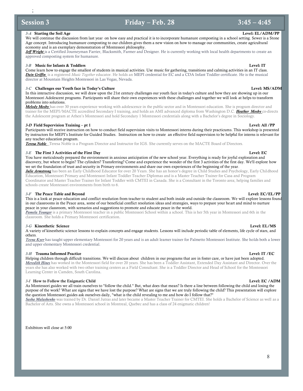### Session 3 **Friday – Feb. 28** 3:45 – 4:45

;

3-A Starting the Soil Age<br>We will continue the discussion from last year on how easy and practical it is to incorporate humanure composting in a school setting. Sewer is a Stone Age concept. Introducing humanure composting to our children gives them a new vision on how to manage our communities, create agricultural economy and is an exemplary demonstration of Montessori philosophy.

*Jeff Wright* is a Certified Journeyman Farrier, Blacksmith, Farmer and Designer. He is currently working with local health departments to create an approved composting system for humanure.

### *3-B* Music for Infants & Toddlers Level: IT

Come learn how to engage the smallest of students in musical activities. Use music for gathering, transitions and calming activities in an IT class. *Dain Griffin* is a registered *Music Together* educator. He holds an MEPI credential for EC and a CDA Infant Toddler certificate. He is the musical director at Mountain Heights Montessori in Las Vegas, Nevada.

#### *3-C* Challenges our Youth face in Today's Culture Level: MS/ADM

In this interactive discussion, we will draw upon the 21st century challenges our youth face in today's culture and how they are showing up in our Montessori Adolescent programs. Participants will share their own experiences with these challenges and together we will look at helps to transform problems into solutions.

*Melody Mosby* has over 30 years experience working with adolescence in the public sector and in Montessori education. She is program director and trainer for the MEPI/MACTE accredited Secondary I training, and holds an AMI advanced diploma from Washington D.C. *Heather Mosby* co-directs the Adolescent program at Athen's Montessori and hold Secondary 1 Montessori credentials along with a Bachelor's degree in Sociology.

### *3-D* Field Supervision Training – pt 1 Level: All /PP

Participants will receive instruction on how to conduct field supervision visits to Montessori interns during their practicums. This workshop is presented by instructors for MEPI's Institute for Guided Studies. Instruction on how to create an effective field supervision to be helpful for interns is relevant for any teacher education program.

*Teresa Noble* Teresa Noble is a Program Director and Instructor for IGS. She currently serves on the MACTE Board of Directors.

### *3-E* The First 3 Activities of the First Day Level: EC

You have meticulously prepared the environment in anxious anticipation of the new school year. Everything is ready for joyful exploration and discovery, but where to begin? The cylinders? Transferring? Come and experience the wonder of the first 3 activities of the first day. We'll explore how we set the foundation of trust and security in Primary environments and share our own experiences of the beginning of the year.

*Julie Armstrong* has been an Early Childhood Educator for over 20 Years. She has an honor's degree in Child Studies and Psychology, Early Childhood Education, Montessori Primary and Montessori Infant Toddler Teacher Diplomas and is a Master Teacher Trainer for Casa and Program Coordinator and Master Teacher Trainer for Infant Toddler with CMTEI in Canada. She is a Consultant in the Toronto area; helping families and schools create Montessori environments from birth to 6.

### *3-F* The Peace Table and Beyond Level: EC/EL/PP

This is a look at peace education and conflict resolution from teacher to student and both inside and outside the classroom. We will explore lessons found in our classrooms in the Peace area, some of our beneficial conflict resolution ideas and strategies, ways to prepare your heart and mind to nurture peace in your classroom, with scenarios and suggestions to promote and educate peace in the world.

*Pamela Younger* is a primary Montessori teacher in a public Montessori School within a school. This is her 5th year in Montessori and 6th in the classroom. She holds a Primary Montessori certification.

### *3-G* Kinesthetic Science Level: EL/MS

A variety of kinesthetic science lessons to explain concepts and engage students. Lessons will include periodic table of elements, life cycle of stars, and others.

*Teena Kyer* has taught upper elementary Montessori for 20 years and is an adult learner trainer for Palmetto Montessori Institute. She holds both a lower and upper elementary Montessori credential.

### *3-H* Trauma Informed Practice Level: IT /EC

Helping children through difficult transitions. We will discuss about children in our programs that are in foster care, or have just been adopted. *Meredith Hines* has worked in the Montessori field for over 20 years. She has been a Toddler Assistant, Extended Day Assistant and Director. Over the years she has also worked with two other training centers as a Field Consultant. She is a Toddler Director and Head of School for the Montessori Learning Center in Camden, South Carolina.

### *3-I* How to Follow the Enigmatic Child Level: EC /ADM

As Montessori guides we all train ourselves to "follow the child." But, what does that mean? Is there a line between following the child and losing the purpose of the work? What are signs that we have lost the purpose? What are signs that we are truly following the child? This presentation will explore the question Montessori guides ask ourselves daily, "what is the child revealing to me and how do I follow that?"

*Sasha Malashenko* was trained by Dr. Daniel Jutras and later became a Master Teacher Trainer for CMTEI. She holds a Bachelor of Science as well as a Bachelor of Arts. She owns a Montessori school in Montreal, Quebec and has a class of 24 enigmatic children!

Exhibitors will close at 5:00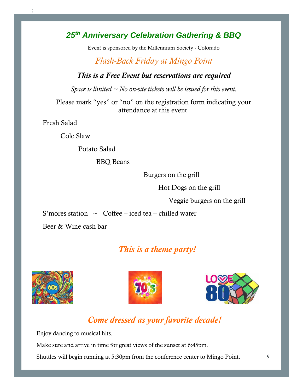*25th Anniversary Celebration Gathering & BBQ*

Event is sponsored by the Millennium Society - Colorado

## *Flash-Back Friday at Mingo Point*

### *This is a Free Event but reservations are required*

*Space is limited ~ No on-site tickets will be issued for this event.*

Please mark "yes" or "no" on the registration form indicating your attendance at this event.

Fresh Salad

;

Cole Slaw

Potato Salad

BBQ Beans

Burgers on the grill

Hot Dogs on the grill

Veggie burgers on the grill

S'mores station  $\sim$  Coffee – iced tea – chilled water

Beer & Wine cash bar

## *This is a theme party!*







## *Come dressed as your favorite decade!*

Enjoy dancing to musical hits.

Make sure and arrive in time for great views of the sunset at 6:45pm.

Shuttles will begin running at 5:30pm from the conference center to Mingo Point.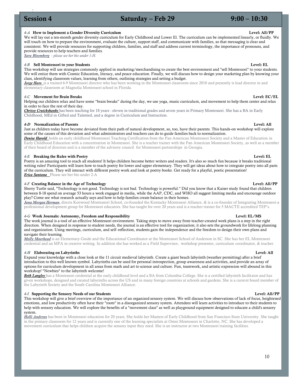### $Session 4$  Saturday – Feb 29 9:00 – 10:30

;

4-A How to Implement a Gender Diversity Curriculum<br>We will lay out a ten-month gender diversity Curriculum<br>We will lay out a ten-month gender diversity curriculum for Early Childhood and Lower El. The curriculum can be imp will touch on how to prepare the environment, evaluate the culture, support staff, and communicate with families, so that messaging is clear and consistent. We will provide resources for supporting children, families, and staff and address current terminology, the importance of pronouns, and provide resources to help teachers and families.

*Sara Bloomberg* - *please see her bio under 1-H.*

#### *4-B* Sell Montessori to your Students Level: EL

This workshop will use strategies commonly applied in marketing/merchandising to create the best environment and "sell Montessori" to your students. We will entice them with Cosmic Education, literacy, and peace education. Finally, we will discuss how to design your marketing plan by knowing your class, identifying classroom values, learning from others, outlining strategies and setting a budget.

*Jorge Haro* is a trained 6-9 Montessori director who has been working in the Montessori classroom since 2010 and presently is lead director in and elementary classroom at Magnolia Montessori school in Florida.

#### *4-C* Movement for Brain Breaks Level: EC/EL

Helping our children relax and have some "brain breaks" during the day, we use yoga, music curriculum, and movement to help them center and relax in order to face the rest of their day.

*Chrissy Cruickshanks* has been teaching for 18 years - eleven in traditional grades and seven years in Primary Montessori. She has a BA in Early Childhood, MEd in Gifted and Talented, and a degree in Curriculum and Instruction.

#### *4-D* Normalization of Parents Level: All

.

Just as children today have become deviated from their path of natural development, so, too, have their parents. This hands-on workshop will explore some of the causes of this deviation and what administrators and teachers can do to guide families back to normalization.

*Denise Harold* holds an early childhood Montessori Teaching Certification from the Pan American Montessori Society and a Master of Education in Early Childhood Education with a concentration in Montessori. She is a teacher trainer with the Pan American Montessori Society, as well as a member of their board of directors and is a member of the advisory council for Montessori partnerships in Georgia.

#### *4-E* Breaking the Rules with Poetry Level: EL

Poetry is an amazing tool to reach all students! It helps children become better writers and readers. It's also so much fun because it breaks traditional writing rules! Participants will learn how to teach poetry for lower and upper elementary. They will get ideas about how to integrate poetry into all parts of the curriculum. They will interact with different poetry work and look at poetry books. Get ready for a playful, poetic presentation! *Erica Santana* Please see her bio under 2-A

#### *4-F* Creating Balance in the Age of Technology Level: All/PP

Sherry Turtle said, "Technology is not good. Technology is not bad. Technology is powerful." Did you know that a Kaiser study found that children between 8-18 spend on average 53 hours a week engaged in media, while the AAP, CDC, and WHO all suggest limiting media and encourage outdoor play? Come see what research actually says and how to help families create balance in their homes.

*Jana Morgan Herman*, directs Kenwood Montessori School, co-founded the Kentucky Montessori Alliance, & is a co-founder of Integrating Montessori-a professional development group for Montessori educators. She has taught for over 20 years and is a teacher trainer for 5 MACTE accredited TEP's.

#### *4-G* Work Journals: Autonomy, Freedom and Responsibility Level: EL/MS

The work journal is a tool of an effective Montessori environment. Taking steps to move away from teacher-created work plans is a step in the right direction. When designed in response to student needs, the journal is an effective tool for organization; it also sets the groundwork for lifelong planning and organization. Using meetings, curriculum, and self–reflection, students gain the independence and the freedom to design their own plans and navigate their learning.

*Molly Moorhead* is an Elementary Guide and the Educational Coordinator at the Montessori School of Anderson in SC. She has her EL Montessori credential and an MFA in creative writing. In addition she has worked as a Field Supervisor, workshop presenter, curriculum coordinator, & teacher.

#### *4-H* Elaborating on Labyrinths Level: All

Expand your knowledge with a close look at the 11 circuit medieval labyrinth. Create a giant beach labyrinth (weather permitting) after a brief introduction to this well known symbol. Labyrinths can be used for personal introspection, group awareness and activities, and provide an array of options for curriculum development in all areas from math and art to science and culture. Fun, teamwork, and artistic expression will abound in this workshop! "Newbies" to the labyrinth welcome!

*Beth Langley* has a Montessori credential at the early childhood level and a BA from Columbia College. She is a certified labyrinth facilitator and has given workshops, designed and created labyrinths across the US and in many foreign countries at schools and gardens. She is a current board member of the Labyrinth Society and the South Carolina Montessori Alliance.

#### *4-I* Supporting the Sensory Needs of our Students Level: All/PP

This workshop will give a brief overview of the importance of an organized sensory system. We will discuss how observations of lack of focus, heightened emotions, and low productivity often have their "roots" in a disorganized sensory system. Attendees will learn activities to introduce to their students to help with sensory education. We will explore the benefits of a "movement class" as well as playground equipment designed to educate a child's sensory system.

*Holli Andrews* has been in Montessori education for 20 years. She holds her Masters of Early Childhood from San Francisco State University. She taught in the primary classroom for 12 years and is currently one of the learning specialists at Omni Montessori in Charlotte, NC. She has developed a movement curriculum that helps children acquire the sensory input they need. She is an instructor at two Montessori training facilities.

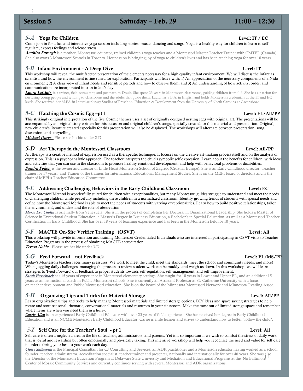### 5-A Yoga for Children

Come join in for a fun and interactive yoga session including stories, music, dancing and songs. Yoga is a healthy way for children to learn to self regulate, express feelings and release stress.

*Anahita Faroogh* is a mother, Montessori educator, trained children's yoga teacher and a Montessori Master Teacher Trainer with CMTEI (Canada). She also owns 3 Montessori Schools in Toronto. Her passion is bringing joy of yoga to children's lives and has been teaching yoga for over 10 years.

### *5-B* Infant Environment - A Deep Dive Level: IT

This workshop will reveal the multifaceted presentation of the elements necessary for a high-quality infant environment. We will discuss the infant as scientist, and how the environment is fine-tuned for exploration. Participants will leave with: 1) An appreciation of the necessary components of a Nido environment; 2) A clear view of infant needs and sensitive periods and how to observe them; and 3) An understanding of how activity, order, and communication are incorporated into an infant's day.

*Laura LeClair* is a trainer, field consultant, and postpartum Doula. She spent 23 years in Montessori classrooms, guiding children from 0-6. She has a passion for nurturing young people and tending to classrooms and the adults that guide them. Laura has a B.A. in English and holds Montessori credentials at the IT and EC levels. She received her M.Ed. in Interdisciplinary Studies of Preschool Education & Development from the University of North Carolina at Greensboro.

### *5-C* Hatching the Cosmic Egg –pt 1 Level: EL/All/PP

This strikingly original interpretation of the five Cosmic themes uses a set of originally designed nesting eggs with original art. The presentations will be accompanied by an original story written for this occasion and original children's songs, specially created for this material and presentation. Original, new children's literature created especially for this presentation will also be displayed. The workshops will alternate between presentation, song, discussion, and storytelling.

*Michael Dorer* Please see his bio under 2-D

### *5-D* Art Therapy in the Montessori Classroom Level: All/PP

Art therapy is a creative method of expression used as a therapeutic technique. It focuses on the creative art-making process itself and on the analysis of expression. This is a psychoanalytic approach. The teacher interprets the child's symbolic self-expression. Learn about the benefits for children, with ideas and activities that you can use in the classroom to promote healthy emotional development, and help with behavioral problems or disabilities. *Sandra Pokos* is the owner and director of Little Heart Montessori School of Zagreb, (Croatia, Europe). She is an Early Childhood director, Teacher

trainer for 17 years, and Trainer of the trainers for International Educational Management Studies. She is on the MEPI board of directors and is the chair of MEPI's Teacher Education Committee.

### 5-E Addressing Challenging Behaviors in the Early Childhood Classroom Level: EC

The Montessori Method is wonderfully suited for children with exceptionalities, but many Montessori guides struggle to understand and meet the needs of challenging children while peacefully including these children in a normalized classroom. Identify growing trends of students with special needs and define how the Montessori Method is able to meet the needs of students with varying exceptionalities. Learn how to build positive relationships, tailor the environment, and understand the role of observation.

*Maria Eva Chaffn* is originally from Venezuela. She is in the process of completing her Doctoral in Organizational Leadership. She holds a Master of Science in Exceptional Student Education, a Master's Degree in Business Education, a Bachelor's in Special Education, as well as a Montessori Teacher Certification in Early Childhood. She has over 18 years of teaching experience and has been in the Montessori field for 10 years.

### *5-F* MACTE On-Site Verifier Training (OSVT) Level: All

This workshop will provide information and training Montessori Credentialed Individuals who are interested in participating in OSVT visits to Teacher Education Programs in the process of obtaining MACTE accreditation.

*Teresa Noble* Please see her bio under 3-D

### *5-G* Feed Forward – not Feedback Level: EL/MS/PP

Today's Montessori teacher faces many pressures: We work to meet the child, meet the standards, meet the school and community needs, and more! When juggling daily challenges, managing the process to review student work can be muddy, and weigh us down. In this workshop, we will learn strategies to 'Feed-Forward' our feedback to propel students towards self-regulation, self-management, and self-improvement.

*Sarah Hassebroek* has 15 years of experience in Montessori elementary settings. She taught for 10 years in Lower and Upper EL, and an additional 5 years as an instructional coach in Public Montessori schools. She is currently an Assistant Professor at St. Catherine University with a focus on teacher development and Public Montessori education. She is on the board of the Minnesota Montessori Network and Minnesota Reading Assoc.

### *5-H* Organizing Tips and Tricks for Material Storage Level: All/PP

Learn organizational tips and tricks to help manage Montessori materials and limited storage options. DIY ideas and space saving strategies to help rotate and store seasonal, thematic, conversational materials and resources in your classroom. Make the most out of limited storage space and remember where items are when you need them in a hurry.

*Carrie Allen* is an experienced Early Childhood Educator with over 25 years of field experience. She has received her degree in Early Childhood Education and is an NCME Montessori Early Childhood Educator. Carrie is a life learner and strives to understand how to better "follow the child".

### *5-I* Self Care for the Teacher's Soul - pt 1 Level: All

Self-care is often a neglected area in the life of teachers, administrators, and parents. Yet it is so important if we wish to combat the stress of daily work that is joyful and rewarding but often emotionally and physically taxing. This intensive workshop will help you recognize the need and value for self-care in order to bring your best to your work each day.

founder, teacher, administrator, accreditation specialist, teacher trainer and presenter, nationally and internationally for over 40 years. She was also<br>the Director of the Montessori Education Program at Delaware State Un *Claire Salkowski* is the Principal Consultant for CJ Consulting and Services, an ADR practitioner and a Montessori educator having worked as a school the Director of the Montessori Education Program at Delaware State University and Mediation and Educational Programs at the No Baltimore Center of Mosaic Community Services and currently continues serving with several Montessori and ADR organizations.

### Level: IT / EC

1:30 –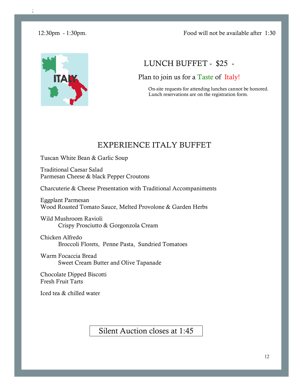

### LUNCH BUFFET - \$25 -

### Plan to join us for a Taste of Italy!

 On-site requests for attending lunches cannot be honored. Lunch reservations are on the registration form.

## EXPERIENCE ITALY BUFFET

Tuscan White Bean & Garlic Soup

Traditional Caesar Salad Parmesan Cheese & black Pepper Croutons

Charcuterie & Cheese Presentation with Traditional Accompaniments

Eggplant Parmesan Wood Roasted Tomato Sauce, Melted Provolone & Garden Herbs

Wild Mushroom Ravioli Crispy Prosciutto & Gorgonzola Cream

Chicken Alfredo Broccoli Florets, Penne Pasta, Sundried Tomatoes

Warm Focaccia Bread Sweet Cream Butter and Olive Tapanade

Chocolate Dipped Biscotti Fresh Fruit Tarts

Iced tea & chilled water

Silent Auction closes at 1:45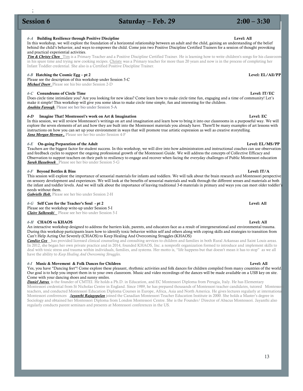### Session 6 **Saturday – Feb. 29** 2:00 – 3:30

;

### 6-A Building Resilience through Positive Discipline

In this workshop, we will explore the foundation of a horizontal relationship between an adult and the child, gaining an understanding of the belief behind the child's behavior, and ways to empower the child. Come join two Positive Discipline Certified Trainers for a session of thought provoking and practical experiential activities.

*Tim & Christy Chen* Tim is a Primary Teacher and a Positive Discipline Certified Trainer. He is learning how to write children's songs for his classroom in his spare time and trying new cooking recipes. Christy was a Primary teacher for more than 20 years and now is in the process of completing her Infant Toddler credential. She also is a Certified Positive Discipline Trainer.

### *6-B* Hatching the Cosmic Egg – pt 2 Level: EL/All/PP

Please see the description of this workshop under Session 5-C *Michael Doerr* Please see his bio under Session 2-D

### *6-C* Conundrums of Circle Time Level: IT/EC

Does circle time intimidate you? Are you looking for new ideas? Come learn how to make circle time fun, engaging and a time of community! Let's make it simple! This workshop will give you some ideas to make circle time simple, fun and interesting for the children. *Anahita Faroogh* Please see her bio under Session 5-A

### *6-D* Imagine That! Montessori's work on Art & Imagination Level: EC

In this session, we will review Montessori's writings on art and imagination and learn how to bring it into our classrooms in a purposeful way. We will explore the seven elements of art and how they are built into the Montessori materials you already have. There'll be many examples of art lessons with instructions on how you can set up your environment in ways that will promote true artistic expression as well as creative storytelling. *Jana Morgan Herman ,* Please see her bio under Session 4-F

### *6-E* On-going Preparation of the Adult Level: EL/MS/PP

Teachers are the biggest factor for student success. In this workshop, we will dive into how administrators and instructional coaches can use observation and feedback cycles to support the ongoing professional growth of the Montessori Guide. We will address the concepts of Collective Efficacy and Observation to support teachers on their path to resiliency to engage and recover when facing the everyday challenges of Public Montessori education *Sarah Hassebroek* Please see her bio under Session 5-G

### *6-F* Beyond Bottles & Bins Level: IT/A

This session will explore the importance of sensorial materials for infants and toddlers. We will talk about the brain research and Montessori perspective on sensory development and experiences. We will look at the benefits of sensorial materials and walk through the different senses and materials at both the infant and toddler levels. And we will talk about the importance of leaving traditional 3-6 materials in primary and ways you can meet older toddler's needs without them.

*Gabrielle Holt,* Please see her bio under Session 2-H

### *6-G* Self Care for the Teacher's Soul - pt 2 Level: All

Please see the workshop write-up under Session 5-I *Claire Salkowski* Please see her bio under Session 5-I

### *6-H* CHAOS vs KHAOS Level: All

An interactive workshop designed to address the barriers kids, parents, and educators face as a result of intergenerational and environmental trauma. During this workshop participants learn how to identify toxic behavior within self and others along with coping skills and strategies to transition from Can't Help Acting Out Severely (CHAOS) to Keep Healing And Overcoming Struggles (KHAOS)

**Candice Cox** has provided licensed clinical counseling and consulting services to children and families in both Rural Arkansas and Saint Louis areas. In 2012, she began her own private practice and in 2014, founded KHAOS, Inc. a nonprofit organization formed to introduce and implement skills to deal with toxic stress and trauma within individuals, families, and systems. Her motto is, "life happens but that doesn't mean it has to stop" as we all have the ability to *Keep Healing And Overcoming Struggles*.

### *6-I* Music & Movement & Folk Dances for Children Level: All

Yes, you have "Dancing feet"! Come explore these pleasant, rhythmic activities and folk dances for children compiled from many countries of the world. Our goal is to help you import them in to your own classroom. Music and video recordings of the dances will be made available on a USB key on site. Come with your dancing shoes and sunny smiles.

*Daniel Jutras* is the founder of CMTEI. He holds a Ph.D. in Education, and EC Montessori Diploma from Perugia, Italy. He has Elementary Montessori credential from St Nicholas Centre in England. Since 1989, he has prepared thousands of Montessori teacher candidates, tutored Montessori teachers, and conducted Montessori Education Diploma Courses in Europe, Africa, Asia and North America. He gives lectures regularly at international Montessori conferences *Jayanthi Rajagopalan* joined the Canadian Montessori Teacher Education Institute in 2000. She holds a Master's degree in Sociology and obtained her Montessori Diploma from London Montessori Centre. She is the Founder/ Director of Abacus Montessori. Jayanthi also regularly conducts parent seminars and presents at Montessori conferences in the US.

## 1:30 – 3:00 – 3:00 Level: All americans and the set of  $\mathbf{L}$  evel: All americans and the set of  $\mathbf{L}$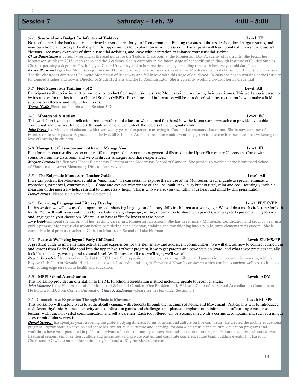### Session 7 Saturday – Feb. 29 4:00 – 5:00

;

### 7-A Sensorial on a Budget for Infants and Toddlers

No need to break the bank to have a enriched sensorial area for your IT environment. Finding treasures at the resale shop, local bargain stores, and your own home and backyard will expand the opportunities for exploration in your classroom. Participants will learn points of interest for sensorial "lessons", see many examples of simple sensorial activities, and leave with inspiration to enhance your sensorial shelves.

*Chase Butterbaugh* is currently serving as the lead guide for the Toddler Classroom at the Montessori Day Academy of Hartsville. She began her Montessori studies in 2018 when she joined the Academy. She is currently in the intern stage of her certification through Institute of Guided Studies. Chase is perusing a degree in Psychology at Coker University and in her free time, enjoys spending time with her five year old daughter. *Kristie Norwood* began her Montessori journey in 2003 while serving as a primary assistant at the Montessori School of Camden. Later she served as a Toddler classroom director at Palmetto Montessori of Ridgeway and fell in love with this stage of childhood. In 2009 she began working at the Institute for Guided Studies and now is Director of Student Affairs and the IT Administrator. She is currently working towards her IT credential

#### *7-B* Field Supervisor Training - pt 2 Level: All

Participants will receive instruction on how to conduct field supervision visits to Montessori interns during their practicums. This workshop is presented by instructors for the Institute for Guided Studies (MEPI). Procedures and information will be introduced with instruction on how to make a field supervision effective and helpful for interns..

*Teresa Noble* Please see her bio under Session 3-D

#### *7-C* Montessori & Autism Level: EC

This workshop is a personal reflection from a mother and educator who learned first-hand how the Montessori approach can provide a valuable conceptual and practical framework through which one can unlock the secrets of the enigmatic child.

*Julie Lyras* is a Montessori educator with over twenty years of experience teaching in Casa and elementary classrooms. She is now a trainer of Montessori teacher guides. A graduate of the McGill School of Architecture, Julie would eventually go on to discover her true passion: awakening the love of learning in children.

#### *7-D* Manage the Classroom and not have it Manage You **Level: EL**

Plan for an interactive discussion on the different types of classroom management skills used in the Upper Elementary Classroom. Come with scenarios from the classroom, and we will discuss strategies and share experiences.

*Meghan Brunson* is a first year Upper Elementary Director at the Montessori School of Camden. She previously worked at the Montessori School of Florence as a Lower Elementary Director for five years.

#### *7-E* The Enigmatic Montessori Teacher Guide Level: All

If we can portrait the Montessori child as "enigmatic", we can certainly explore the nature of the Montessori teacher guide as special, enigmatic, mysterious, paradoxal, controversial,…. Come and explore who we are or shall be: multi-task, busy but not tired, calm and cool, seemingly invisible, measurer of the necessary help, resistant to unnecessary help... This is who we are; you will fulfill your heart and mind by this presentation. *Daniel Jutras* Please see his bio under Session 6-I

#### *7-F* Enhancing Language and Literacy Development Level: IT/EC/PP

In this session we will discuss the importance of enhancing language and literacy skills in children at a young age. We will do a mock circle time for both levels. You will walk away with ideas for read alouds, sign language, music, information to share with parents, and ways to begin enhancing literacy and language in your classroom. We will also have raffles for books to take home.

*Amy Webb* has spent the majority of her teaching career in a Montessori classroom. She has her Primary Montessori Certification and taught 1 year in a public primary Montessori classroom before completing her elementary training and transitioning into a public lower elementary classroom. She is currently a lead primary teacher at Christian Montessori School of Lake Norman.

#### *7-G* Peace & Wellbeing beyond Early Childhood Level: EL/MS/PP

A practical guide to implementing activities and experiences for the elementary and adolescent communities. We will discuss how to connect curriculum and lessons from Early Childhood into the upper levels of your program, how to get parents and coworkers on board, and what these practices actually look like on a daily, weekly, and seasonal level. We'll move, we'll rest, we'll sign, we'll write!

*Renata Faccioli* is Montessori certified at the EC Level. She is passionate about supporting children and parents in her community working with the Boys & Girls Club in Nevada. Her latest endeavor is leadership training in *Empowered Wellbeing for Success* which combines ancient wellness techniques with cutting edge research in health and education.

#### *7-H* MEPI School Accreditation Level: ADM

This workshop provides an orientation to the MEPI school accreditation method including update to recent changes. *John Moncure* is the Headmaster of the Montessori School of Camden, Vice President of MEPI, and Chair of the School Accreditation Commission. He holds a Ph.D. from Cornell University. *Claire J. Salkowski –*please see her bio under Session 5-I

#### *7-I* Connection & Expression Through Music & Movement **Level: EL /PP** Level: EL /PP

This workshop will explore ways to authentically engage with students through the mediums of Music and Movement. Participants will be introduced to different rhythmic, balance, dexterity and coordination games and challenges that place an emphasis on reinforcement of learning concepts and lessons, with fun, non-verbal communication and self awareness. Each tool offered will be accompanied with a cosmic accompaniment, such as a unique story or mindfulness exercise.

*Daniel Scruggs* has spent 25 years traveling the globe studying different forms of music and culture on five continents, He created the mobile educational program *Rhythm Moves* to develop and share his love for music, culture and learning. *Rhythm Moves* music and cultural education programs and workshops have been presented in public and private schools, community centers, hospitals, detention centers, rehabilitation centers, substance abuse treatment centers, senior centers, culture and music festivals, private parties, and corporate conferences and team building events. It is based in Charleston, SC where more information may be found at RhythmMovesLive.com

### Level: IT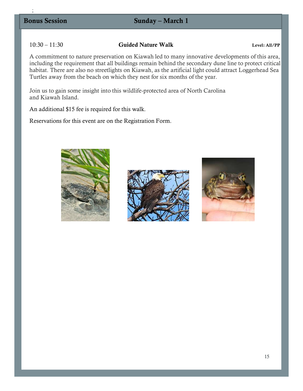### Bonus Session Sunday – March 1

### 10:30 – 11:30 Guided Nature Walk Level: All/PP

h Friday – Feb 24 1:30 – 3:00 – 3:00 – 3:00 – 3:00 – 3:00 – 3:00 – 3:00 – 3:00 – 3:00 – 3:00 – 3:00 – 3:00 – 3<br>The state of the state of the state of the state of the state of the state of the state of the state of the st

A commitment to nature preservation on Kiawah led to many innovative developments of this area, including the requirement that all buildings remain behind the secondary dune line to protect critical habitat. There are also no streetlights on Kiawah, as the artificial light could attract Loggerhead Sea Turtles away from the beach on which they nest for six months of the year.

Join us to gain some insight into this wildlife-protected area of North Carolina and Kiawah Island.

An additional \$15 fee is required for this walk.

Reservations for this event are on the Registration Form.





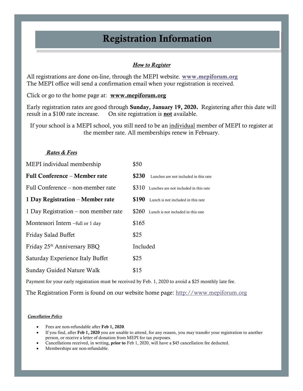## Registration Information

### *How to Register*

All registrations are done on-line, through the MEPI website. www.mepiforum.org The MEPI office will send a confirmation email when your registration is received.

Click or go to the home page at: [www.mepiforum.org](http://www.mepiforum.org/)

Early registration rates are good through Sunday, January 19, 2020. Registering after this date will result in a \$100 rate increase. On site registration is **not** available.

If your school is a MEPI school, you still need to be an individual member of MEPI to register at the member rate. All memberships renew in February.

### *Rates & Fees*

| MEPI individual membership              | \$50                                           |
|-----------------------------------------|------------------------------------------------|
| Full Conference - Member rate           | \$230<br>Lunches are not included in this rate |
| Full Conference – non-member rate       | \$310<br>Lunches are not included in this rate |
| 1 Day Registration – Member rate        | \$190<br>Lunch is not included in this rate    |
| 1 Day Registration $-$ non member rate  | \$260<br>Lunch is not included in this rate    |
| Montessori Intern -full or 1 day        | \$165                                          |
| Friday Salad Buffet                     | \$25                                           |
| Friday 25 <sup>th</sup> Anniversary BBQ | Included                                       |
| Saturday Experience Italy Buffet        | \$25                                           |
| <b>Sunday Guided Nature Walk</b>        | \$15                                           |

Payment for your early registration must be received by Feb. 1, 2020 to avoid a \$25 monthly late fee.

The Registration Form is found on our website home page: [http://www.mepiforum.org](http://www.mepiforum.org/)

### **Cancellation Policy**

- Fees are non-refundable after Feb 1, 2020.
	- If you find, after Feb 1, 2020 you are unable to attend, for any reason, you may transfer your registration to another person, or receive a letter of donation from MEPI for tax purposes.
	- Cancellations received, in writing, prior to Feb 1, 2020, will have a \$45 cancellation fee deducted.
	- Memberships are non-refundable.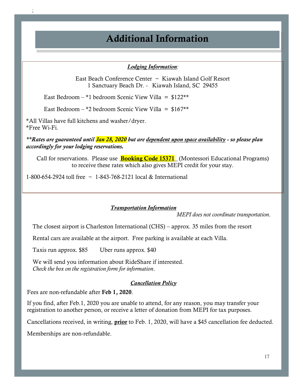## Additional Information

### *Lodging Information:*

East Beach Conference Center ~ Kiawah Island Golf Resort 1 Sanctuary Beach Dr. - Kiawah Island, SC 29455

East Bedroom – \*1 bedroom Scenic View Villa =  $$122**$ 

East Bedroom – \*2 bedroom Scenic View Villa =  $$167**$ 

\*All Villas have full kitchens and washer/dryer. \*Free Wi-Fi.

;

*\*\*Rates are guaranteed until Jan 28, 2020 but are dependent upon space availability - so please plan accordingly for your lodging reservations.*

Call for reservations. Please use **Booking Code 15371** (Montessori Educational Programs) to receive these rates which also gives MEPI credit for your stay.

1-800-654-2924 toll free ~ 1-843-768-2121 local & International

### *Transportation Information*

*MEPI does not coordinate transportation*.

The closest airport is Charleston International (CHS) – approx. 35 miles from the resort

Rental cars are available at the airport. Free parking is available at each Villa.

Taxis run approx. \$85 Uber runs approx. \$40

We will send you information about RideShare if interested. *Check the box on the registration form for information*.

### *Cancellation Policy*

Fees are non-refundable after Feb 1, 2020.

If you find, after Feb.1, 2020 you are unable to attend, for any reason, you may transfer your registration to another person, or receive a letter of donation from MEPI for tax purposes.

Cancellations received, in writing, **prior** to Feb. 1, 2020, will have a \$45 cancellation fee deducted.

Memberships are non-refundable.